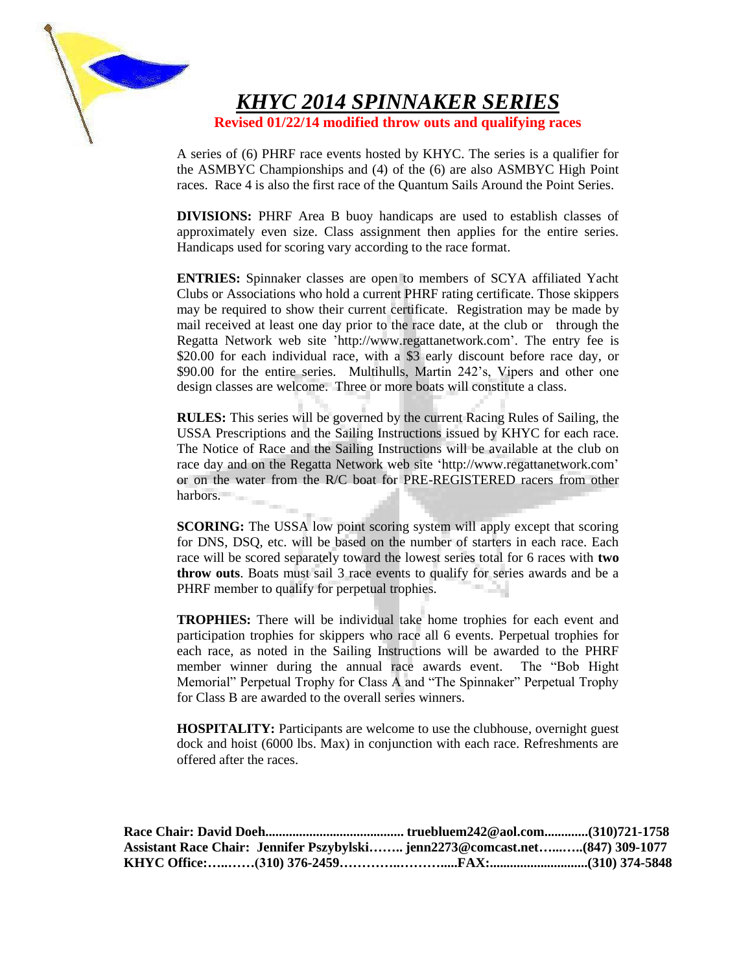

*KHYC 2014 SPINNAKER SERIES*

**Revised 01/22/14 modified throw outs and qualifying races**

A series of (6) PHRF race events hosted by KHYC. The series is a qualifier for the ASMBYC Championships and (4) of the (6) are also ASMBYC High Point races. Race 4 is also the first race of the Quantum Sails Around the Point Series.

**DIVISIONS:** PHRF Area B buoy handicaps are used to establish classes of approximately even size. Class assignment then applies for the entire series. Handicaps used for scoring vary according to the race format.

**ENTRIES:** Spinnaker classes are open to members of SCYA affiliated Yacht Clubs or Associations who hold a current PHRF rating certificate. Those skippers may be required to show their current certificate. Registration may be made by mail received at least one day prior to the race date, at the club or through the Regatta Network web site 'http://www.regattanetwork.com'. The entry fee is \$20.00 for each individual race, with a \$3 early discount before race day, or \$90.00 for the entire series. Multihulls, Martin 242's, Vipers and other one design classes are welcome. Three or more boats will constitute a class.

**RULES:** This series will be governed by the current Racing Rules of Sailing, the USSA Prescriptions and the Sailing Instructions issued by KHYC for each race. The Notice of Race and the Sailing Instructions will be available at the club on race day and on the Regatta Network web site 'http://www.regattanetwork.com' or on the water from the R/C boat for PRE-REGISTERED racers from other harbors.  $\sim$ 

**SCORING:** The USSA low point scoring system will apply except that scoring for DNS, DSQ, etc. will be based on the number of starters in each race. Each race will be scored separately toward the lowest series total for 6 races with **two throw outs**. Boats must sail 3 race events to qualify for series awards and be a PHRF member to qualify for perpetual trophies. - 24

**TROPHIES:** There will be individual take home trophies for each event and participation trophies for skippers who race all 6 events. Perpetual trophies for each race, as noted in the Sailing Instructions will be awarded to the PHRF member winner during the annual race awards event. The "Bob Hight Memorial" Perpetual Trophy for Class A and "The Spinnaker" Perpetual Trophy for Class B are awarded to the overall series winners.

**HOSPITALITY:** Participants are welcome to use the clubhouse, overnight guest dock and hoist (6000 lbs. Max) in conjunction with each race. Refreshments are offered after the races.

| Assistant Race Chair: Jennifer Pszybylski jenn2273@comcast.net(847) 309-1077 |  |  |
|------------------------------------------------------------------------------|--|--|
|                                                                              |  |  |